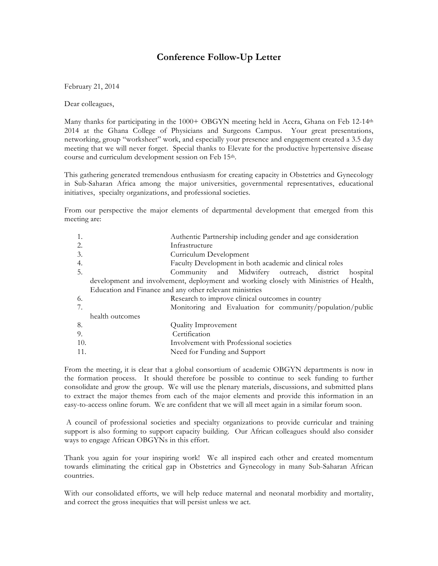## **Conference Follow-Up Letter**

February 21, 2014

Dear colleagues,

Many thanks for participating in the  $1000+$  OBGYN meeting held in Accra, Ghana on Feb 12-14<sup>th</sup> 2014 at the Ghana College of Physicians and Surgeons Campus. Your great presentations, networking, group "worksheet" work, and especially your presence and engagement created a 3.5 day meeting that we will never forget. Special thanks to Elevate for the productive hypertensive disease course and curriculum development session on Feb 15th.

This gathering generated tremendous enthusiasm for creating capacity in Obstetrics and Gynecology in Sub-Saharan Africa among the major universities, governmental representatives, educational initiatives, specialty organizations, and professional societies.

From our perspective the major elements of departmental development that emerged from this meeting are:

| 1.  | Authentic Partnership including gender and age consideration                           |
|-----|----------------------------------------------------------------------------------------|
| 2.  | Infrastructure                                                                         |
| 3.  | Curriculum Development                                                                 |
| 4.  | Faculty Development in both academic and clinical roles                                |
| 5.  | Community and Midwifery outreach, district<br>hospital                                 |
|     | development and involvement, deployment and working closely with Ministries of Health, |
|     | Education and Finance and any other relevant ministries                                |
| 6.  | Research to improve clinical outcomes in country                                       |
| 7.  | Monitoring and Evaluation for community/population/public                              |
|     | health outcomes                                                                        |
| 8.  | <b>Quality Improvement</b>                                                             |
| 9.  | Certification                                                                          |
| 10. | Involvement with Professional societies                                                |
| 11. | Need for Funding and Support                                                           |
|     |                                                                                        |

From the meeting, it is clear that a global consortium of academic OBGYN departments is now in the formation process. It should therefore be possible to continue to seek funding to further consolidate and grow the group. We will use the plenary materials, discussions, and submitted plans to extract the major themes from each of the major elements and provide this information in an easy-to-access online forum. We are confident that we will all meet again in a similar forum soon.

A council of professional societies and specialty organizations to provide curricular and training support is also forming to support capacity building. Our African colleagues should also consider ways to engage African OBGYNs in this effort.

Thank you again for your inspiring work! We all inspired each other and created momentum towards eliminating the critical gap in Obstetrics and Gynecology in many Sub-Saharan African countries.

With our consolidated efforts, we will help reduce maternal and neonatal morbidity and mortality, and correct the gross inequities that will persist unless we act.